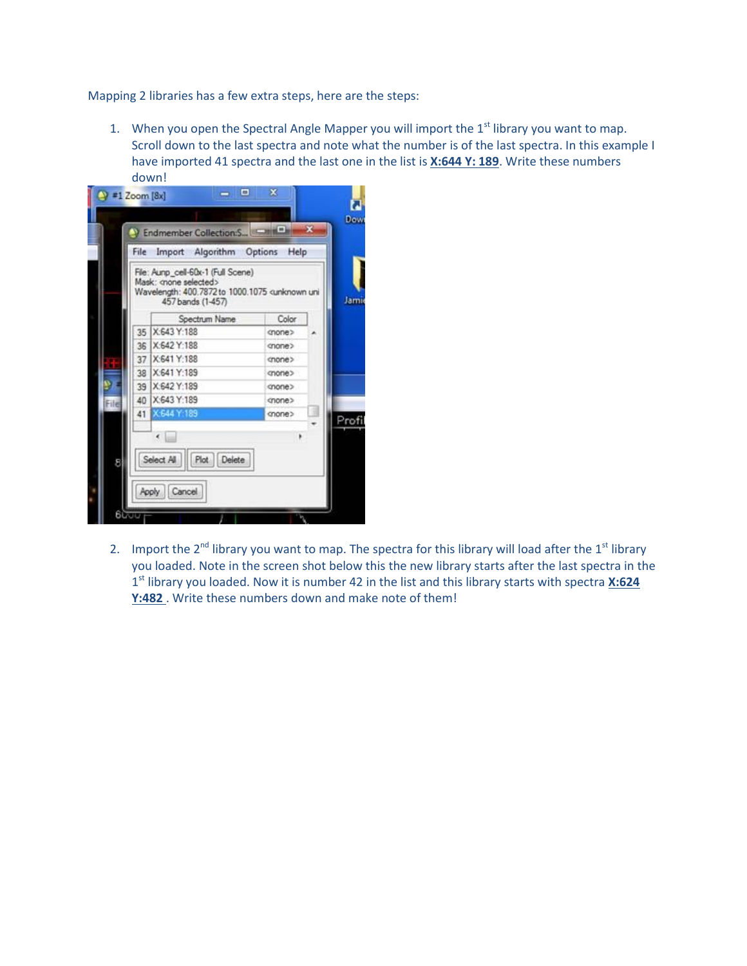Mapping 2 libraries has a few extra steps, here are the steps:

1. When you open the Spectral Angle Mapper you will import the  $1<sup>st</sup>$  library you want to map. Scroll down to the last spectra and note what the number is of the last spectra. In this example I have imported 41 spectra and the last one in the list is **X:644 Y: 189**. Write these numbers down!



2. Import the  $2^{nd}$  library you want to map. The spectra for this library will load after the  $1^{st}$  library you loaded. Note in the screen shot below this the new library starts after the last spectra in the 1 st library you loaded. Now it is number 42 in the list and this library starts with spectra **X:624 Y:482** . Write these numbers down and make note of them!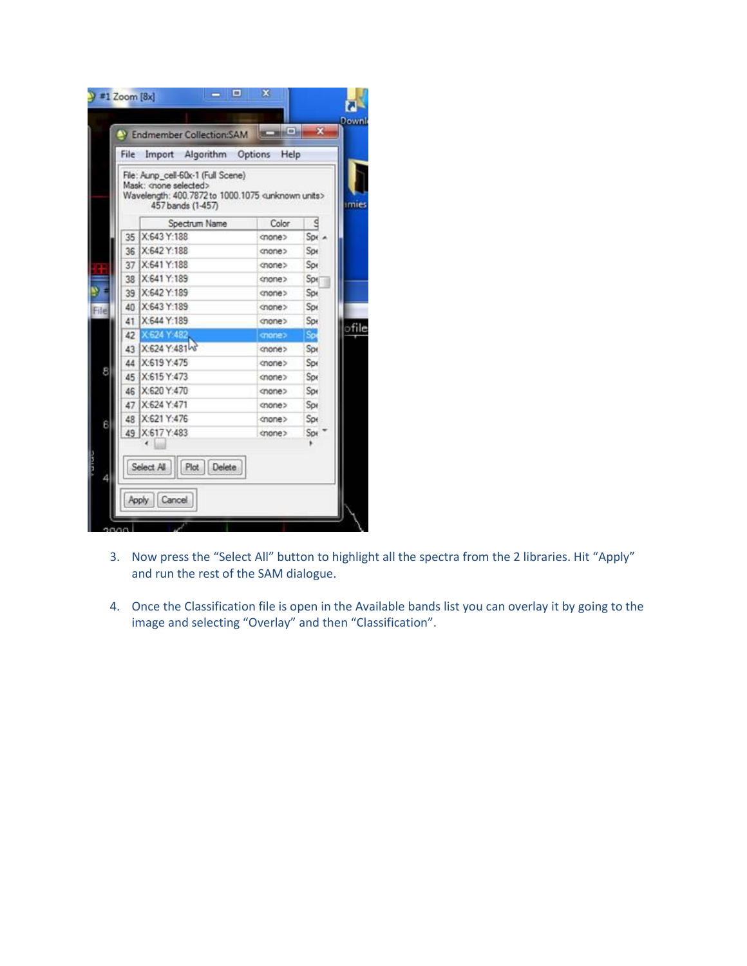|      | File                                                                                                                                                 | Import Algorithm Options Help |               |              |       |  |
|------|------------------------------------------------------------------------------------------------------------------------------------------------------|-------------------------------|---------------|--------------|-------|--|
|      | File: Aunp_cell-60x-1 (Full Scene)<br>Mask: < none selected><br>Wavelength: 400.7872 to 1000.1075 <unknown units=""><br/>457 bands (1-457)</unknown> |                               |               |              |       |  |
|      |                                                                                                                                                      | Spectrum Name                 | Color         | $\mathbf{g}$ |       |  |
|      | 35                                                                                                                                                   | X:643 Y:188                   | cnone>        | $S_{Dt}$     |       |  |
|      | 36                                                                                                                                                   | X:642 Y:188                   | cnone>        | Spe          |       |  |
|      | 37                                                                                                                                                   | X:641 Y:188                   | cnone>        | Spe          |       |  |
|      | 38                                                                                                                                                   | X:641 Y:189                   | <none></none> | Spe          |       |  |
|      | 39                                                                                                                                                   | X:642 Y:189                   | onone         | Spe          |       |  |
| File | 40                                                                                                                                                   | X:643 Y:189                   | <none></none> | Spe          |       |  |
|      | 41                                                                                                                                                   | X:644 Y:189                   | cnone         | Spe          |       |  |
|      | 42                                                                                                                                                   | X 624 Y 482                   | chone>        | Sp.          | ofile |  |
|      | 43                                                                                                                                                   | X-624 Y-48148                 | cnone>        | Spe          |       |  |
|      | 44                                                                                                                                                   | X:619 Y:475                   | cnone>        | Spe          |       |  |
| 8    | 45                                                                                                                                                   | X:615 Y:473                   | <none></none> | Spe          |       |  |
|      | 46                                                                                                                                                   | X:620 Y:470                   | <none></none> | Spr          |       |  |
|      | 47                                                                                                                                                   | X-624 Y:471                   | cnone>        | Spr          |       |  |
| 6    | 48                                                                                                                                                   | X:621 Y:476                   | <none></none> | Spe          |       |  |
|      | 49                                                                                                                                                   | X:617 Y:483                   | cnone>        | Spe          |       |  |
|      |                                                                                                                                                      |                               |               |              |       |  |
|      |                                                                                                                                                      | Plot Delete<br>Select All     |               |              |       |  |
|      |                                                                                                                                                      |                               |               |              |       |  |

- 3. Now press the "Select All" button to highlight all the spectra from the 2 libraries. Hit "Apply" and run the rest of the SAM dialogue.
- 4. Once the Classification file is open in the Available bands list you can overlay it by going to the image and selecting "Overlay" and then "Classification".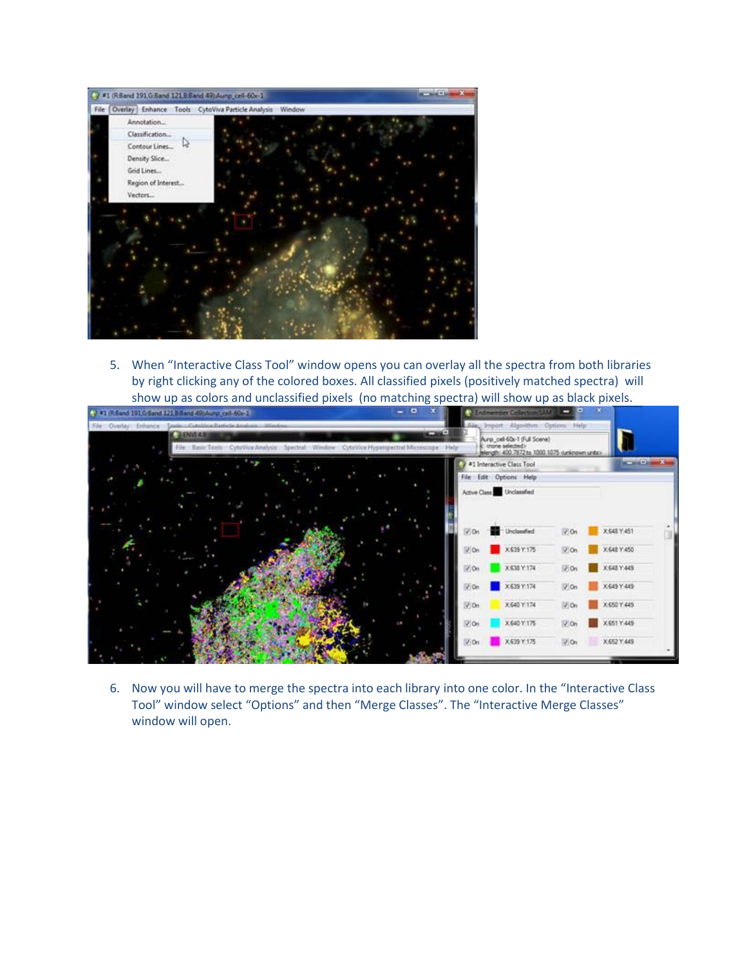

5. When "Interactive Class Tool" window opens you can overlay all the spectra from both libraries by right clicking any of the colored boxes. All classified pixels (positively matched spectra) will show up as colors and unclassified pixels (no matching spectra) will show up as black pixels.



6. Now you will have to merge the spectra into each library into one color. In the "Interactive Class Tool" window select "Options" and then "Merge Classes". The "Interactive Merge Classes" window will open.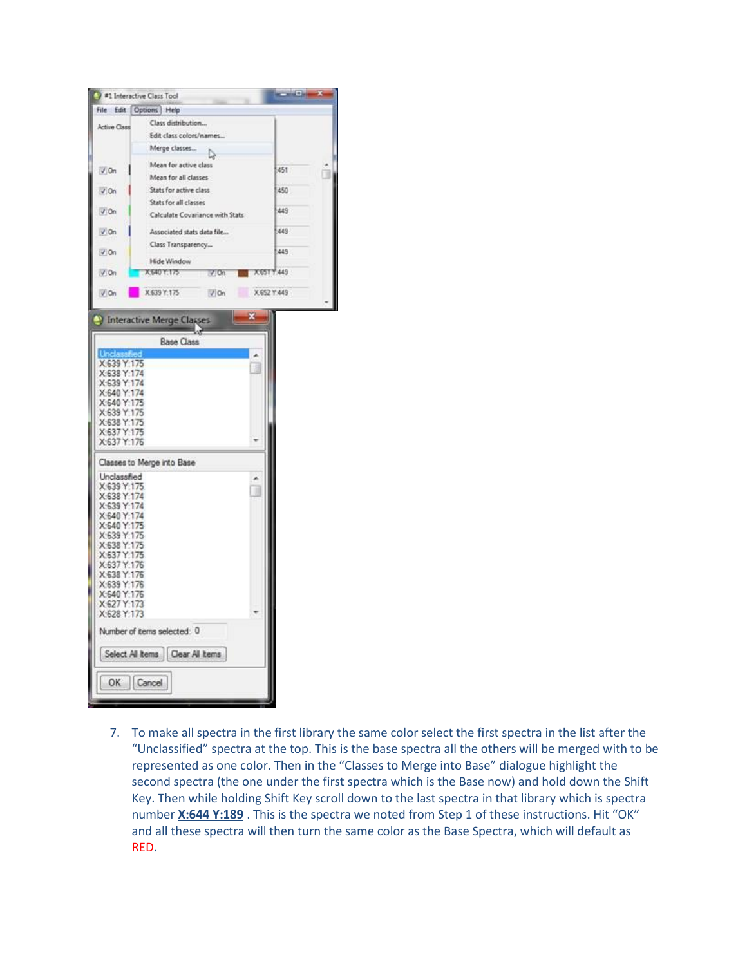|                            | #1 Interactive Class Tool                                     |             | <b>REPORT OF ALL</b> |
|----------------------------|---------------------------------------------------------------|-------------|----------------------|
|                            | File Edit Options Help                                        |             |                      |
| <b>Active Class</b>        | Class distribution                                            |             |                      |
|                            | Edit class colors/names                                       |             |                      |
|                            | Merge classes                                                 |             |                      |
|                            | Mean for active class                                         |             | 5451                 |
| $\sqrt{0n}$                | Mean for all classes                                          |             |                      |
| $J$ On                     | Stats for active class                                        |             | 450                  |
|                            | Stats for all classes                                         |             |                      |
| $V$ On                     | Calculate Covariance with Stats<br>Associated stats data file |             | 449                  |
| $V$ On                     |                                                               |             | 1449                 |
|                            | Class Transparency                                            |             |                      |
| $V$ On                     | Hide Window                                                   |             | 1:449                |
| $\sqrt{0n}$                | X 640 Y.175<br>$V$ On                                         | X65TY.449   |                      |
|                            |                                                               |             |                      |
| $\sqrt{0n}$                | X 639 Y:175<br>$V$ On                                         | X 652 Y 449 |                      |
|                            |                                                               |             |                      |
|                            | Interactive Merge Classes                                     | ×           |                      |
|                            |                                                               |             |                      |
|                            | <b>Base Class</b>                                             |             |                      |
| X:639 Y:175                |                                                               |             |                      |
| X:638 Y:174                |                                                               |             |                      |
| X:639 Y:174                |                                                               |             |                      |
| X:640 Y:174                |                                                               |             |                      |
| X:640 Y:175<br>X:639 Y:175 |                                                               |             |                      |
| X:638 Y:175                |                                                               |             |                      |
| X:637 Y:175                |                                                               |             |                      |
| X:637 Y:176                |                                                               |             |                      |
|                            | Classes to Merge into Base                                    |             |                      |
| Unclassified               |                                                               |             |                      |
| X:639 Y:175                |                                                               |             |                      |
| X:638 Y:174                |                                                               |             |                      |
| X:639 Y:174                |                                                               |             |                      |
| X:640 Y:174                |                                                               |             |                      |
| X:640 Y:175<br>X:639 Y:175 |                                                               |             |                      |
| X-638 Y:175                |                                                               |             |                      |
| X:637 Y:175                |                                                               |             |                      |
| X:637 Y:176                |                                                               |             |                      |
| X:638 Y:176                |                                                               |             |                      |
| X:639 Y:176                |                                                               |             |                      |
| X:640 Y:176                |                                                               |             |                      |
| X-627 Y:173                |                                                               |             |                      |
| X:628 Y:173                |                                                               |             |                      |
|                            | Number of items selected: 0                                   |             |                      |
|                            | Select All Items   Clear All Items                            |             |                      |
|                            |                                                               |             |                      |
| OK                         | Cancel                                                        |             |                      |
|                            |                                                               |             |                      |
|                            |                                                               |             |                      |

7. To make all spectra in the first library the same color select the first spectra in the list after the "Unclassified" spectra at the top. This is the base spectra all the others will be merged with to be represented as one color. Then in the "Classes to Merge into Base" dialogue highlight the second spectra (the one under the first spectra which is the Base now) and hold down the Shift Key. Then while holding Shift Key scroll down to the last spectra in that library which is spectra number **X:644 Y:189** . This is the spectra we noted from Step 1 of these instructions. Hit "OK" and all these spectra will then turn the same color as the Base Spectra, which will default as RED.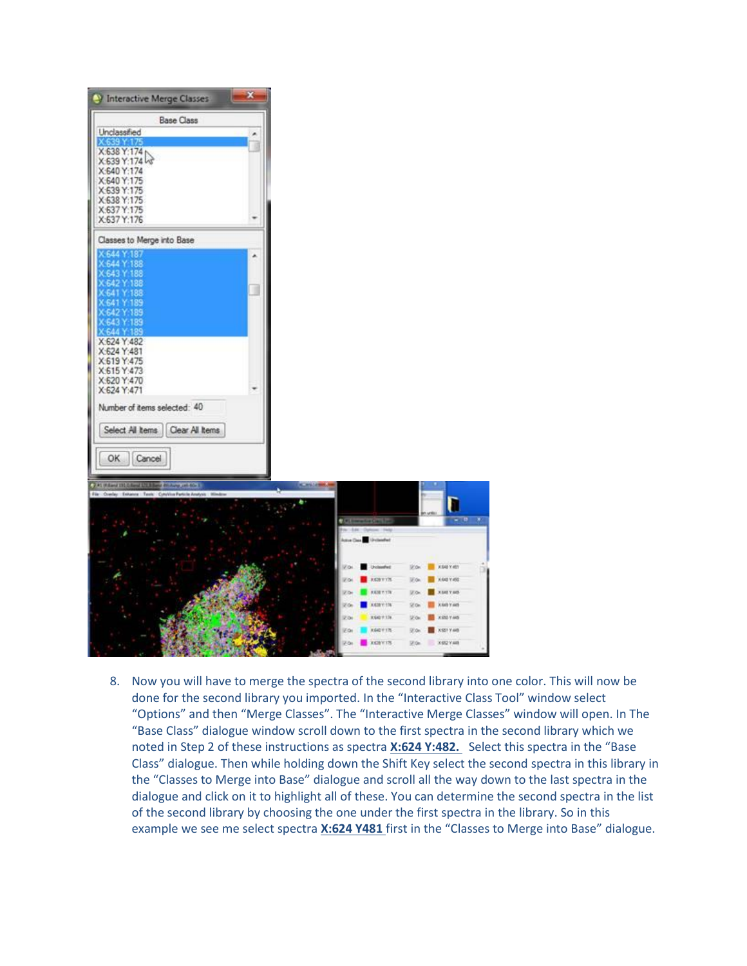

8. Now you will have to merge the spectra of the second library into one color. This will now be done for the second library you imported. In the "Interactive Class Tool" window select "Options" and then "Merge Classes". The "Interactive Merge Classes" window will open. In The "Base Class" dialogue window scroll down to the first spectra in the second library which we noted in Step 2 of these instructions as spectra **X:624 Y:482.** Select this spectra in the "Base Class" dialogue. Then while holding down the Shift Key select the second spectra in this library in the "Classes to Merge into Base" dialogue and scroll all the way down to the last spectra in the dialogue and click on it to highlight all of these. You can determine the second spectra in the list of the second library by choosing the one under the first spectra in the library. So in this example we see me select spectra **X:624 Y481** first in the "Classes to Merge into Base" dialogue.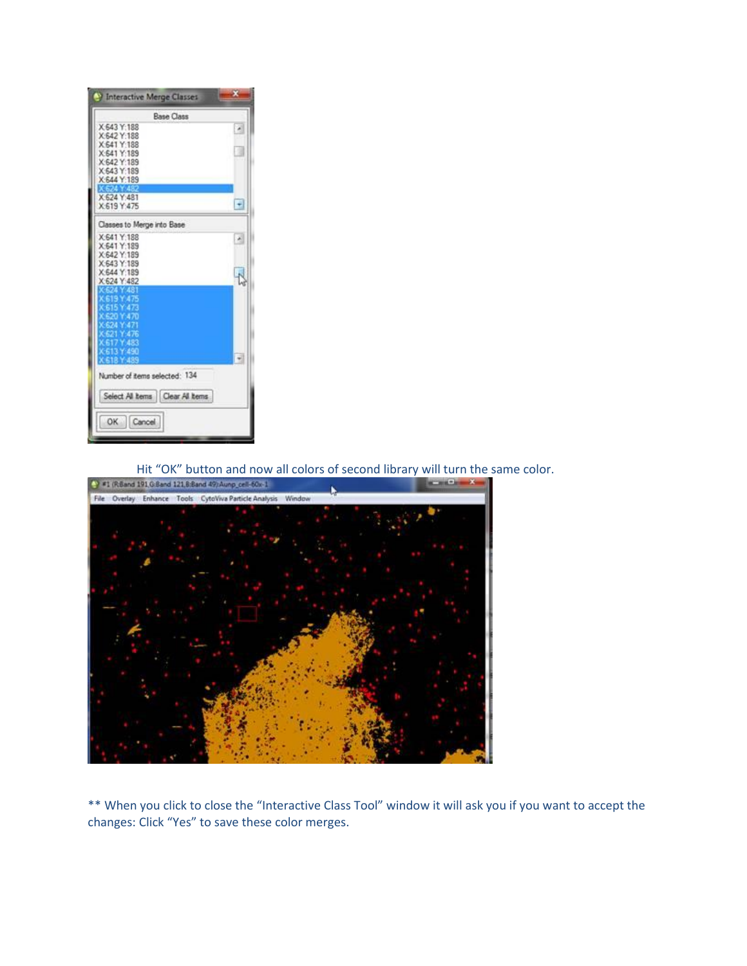| Interactive Merge Classes        | ×                      |  |  |  |  |  |
|----------------------------------|------------------------|--|--|--|--|--|
| <b>Base Class</b>                |                        |  |  |  |  |  |
| X:643 Y:188<br>X:642 Y:188       |                        |  |  |  |  |  |
| X:641 Y:188                      |                        |  |  |  |  |  |
| X:641 Y:189                      |                        |  |  |  |  |  |
| X:642 Y:189<br>X:643 Y:189       |                        |  |  |  |  |  |
| X:644 Y:189                      |                        |  |  |  |  |  |
|                                  |                        |  |  |  |  |  |
| X:624 Y:481<br>X-619 Y-475       | $\left  \cdot \right $ |  |  |  |  |  |
|                                  |                        |  |  |  |  |  |
| Classes to Merge into Base       |                        |  |  |  |  |  |
| X:641 Y:188                      |                        |  |  |  |  |  |
| X:641 Y:189<br>X:642 Y:189       |                        |  |  |  |  |  |
| X:643 Y:189                      |                        |  |  |  |  |  |
| X:644 Y:189                      |                        |  |  |  |  |  |
| X:624 Y:482<br>524 Y 48          |                        |  |  |  |  |  |
| K 619 Y 475                      |                        |  |  |  |  |  |
| K 615 Y 473                      |                        |  |  |  |  |  |
| C620 Y.470<br>K624 Y:471         |                        |  |  |  |  |  |
| K621 Y.476                       |                        |  |  |  |  |  |
| 617 Y 483                        |                        |  |  |  |  |  |
| K-613 Y-490<br><b>CE1RY 4R9</b>  |                        |  |  |  |  |  |
|                                  |                        |  |  |  |  |  |
| Number of items selected: 134    |                        |  |  |  |  |  |
| Select All kems   Clear All kems |                        |  |  |  |  |  |
| OK Cancel                        |                        |  |  |  |  |  |
|                                  |                        |  |  |  |  |  |



\*\* When you click to close the "Interactive Class Tool" window it will ask you if you want to accept the changes: Click "Yes" to save these color merges.